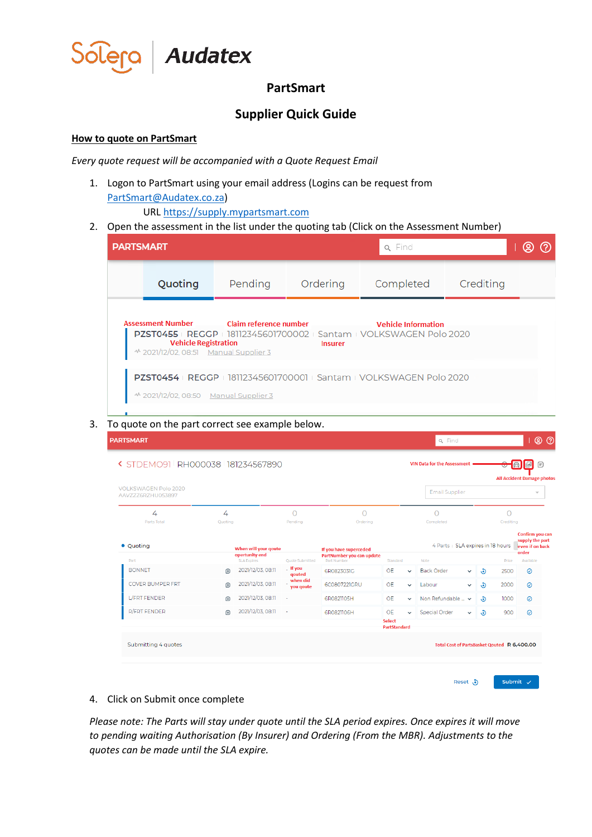

## **PartSmart**

## **Supplier Quick Guide**

## **How to quote on PartSmart**

*Every quote request will be accompanied with a Quote Request Email*

1. Logon to PartSmart using your email address (Logins can be request from [PartSmart@Audatex.co.za\)](mailto:PartSmart@Audatex.co.za)

URL [https://supply.mypartsmart.com](https://supply.mypartsmart.com/)

2. Open the assessment in the list under the quoting tab (Click on the Assessment Number)

| <b>PARTSMART</b> |                                                                                                                  |         |                | <b>Q</b> Find                                                                                             |           | ල |
|------------------|------------------------------------------------------------------------------------------------------------------|---------|----------------|-----------------------------------------------------------------------------------------------------------|-----------|---|
|                  | Quoting                                                                                                          | Pending | Ordering       | Completed                                                                                                 | Crediting |   |
|                  | Assessment Number Claim reference number<br><b>Vehicle Registration</b><br>~ 2021/12/02, 08:51 Manual Supplier 3 |         | <b>Insurer</b> | <b>Vehicle Information</b><br><b>PZST0455</b>   REGGP   18112345601700002   Santam   VOLKSWAGEN Polo 2020 |           |   |
|                  | ~ 2021/12/02, 08:50 Manual Supplier 3                                                                            |         |                | PZST0454   REGGP   18112345601700001   Santam   VOLKSWAGEN Polo 2020                                      |           |   |

3. To quote on the part correct see example below.

| <b>VOLKSWAGEN Polo 2020</b><br>AAVZZZ6RZHU053897 |              |                                         |                                  |                                                     |                               |              | <b>Email Supplier</b>                       |              |                  |                | $\overline{\phantom{a}}$                                       |
|--------------------------------------------------|--------------|-----------------------------------------|----------------------------------|-----------------------------------------------------|-------------------------------|--------------|---------------------------------------------|--------------|------------------|----------------|----------------------------------------------------------------|
| 4<br><b>Parts Total</b>                          | 4<br>Quoting |                                         | O<br>Pending                     | $\circ$<br>Ordering                                 |                               |              | 0<br>Completed                              |              |                  | Ο<br>Crediting |                                                                |
| • Quoting                                        |              | When will your goute<br>opertunity end  |                                  | If you have superceded<br>PartNumber you can update |                               |              | 4 Parts   SLA expires in 18 hours           |              |                  |                | Confirm you can<br>supply the part<br>even if on back<br>order |
| Part<br><b>BONNET</b>                            | 田            | <b>SLA Expires</b><br>2021/12/03, 08:11 | <b>Ouote Submitted</b><br>It you | Part Number<br>6R0823031G                           | Standard<br><b>OE</b>         | $\checkmark$ | Note<br><b>Back Order</b>                   | $\checkmark$ | $\ddot{\bullet}$ | Price<br>2500  | Available<br>$\odot$                                           |
| <b>COVER BUMPER FRT</b>                          | $\bigoplus$  | 2021/12/03, 08:11                       | qouted<br>when did<br>you qoute  | 6C0807221GRU                                        | <b>OE</b>                     | $\checkmark$ | Labour                                      | $\checkmark$ | ತಿ               | 2000           | 0                                                              |
| L/FRT FENDER                                     | 田            | 2021/12/03, 08:11                       |                                  | 6R0821105H                                          | <b>OE</b>                     | $\checkmark$ | Non Refundable  v                           |              | $\ddot{\bullet}$ | 1000           | $\odot$                                                        |
| <b>R/FRT FENDER</b>                              | $\bigoplus$  | 2021/12/03, 08:11                       | ÷,                               | 6R0821106H                                          | <b>OE</b>                     | $\checkmark$ | <b>Special Order</b>                        | $\checkmark$ | $\ddot{\bullet}$ | 900            | 0                                                              |
|                                                  |              |                                         |                                  |                                                     | <b>Select</b><br>PartStandard |              |                                             |              |                  |                |                                                                |
| Submitting 4 quotes                              |              |                                         |                                  |                                                     |                               |              | Total Cost of PartsBasket Qouted R 6,400.00 |              |                  |                |                                                                |

4. Click on Submit once complete

*Please note: The Parts will stay under quote until the SLA period expires. Once expires it will move to pending waiting Authorisation (By Insurer) and Ordering (From the MBR). Adjustments to the quotes can be made until the SLA expire.*